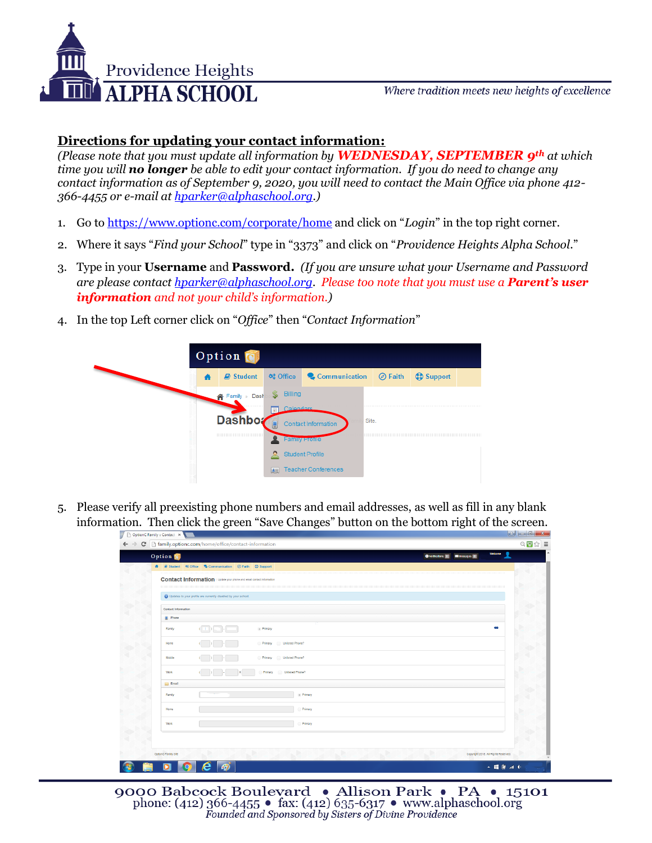

Where tradition meets new heights of excellence

## **Directions for updating your contact information:**

*(Please note that you must update all information by WEDNESDAY, SEPTEMBER 9th at which time you will no longer be able to edit your contact information. If you do need to change any contact information as of September 9, 2020, you will need to contact the Main Office via phone 412- 366-4455 or e-mail at [hparker@alphaschool.org.](mailto:hparker@alphaschool.org))*

- 1. Go to<https://www.optionc.com/corporate/home> and click on "*Login*" in the top right corner.
- 2. Where it says "*Find your School*" type in "3373" and click on "*Providence Heights Alpha School.*"
- 3. Type in your **Username** and **Password.** *(If you are unsure what your Username and Password are please contact [hparker@alphaschool.org.](mailto:hparker@alphaschool.org) Please too note that you must use a Parent's user information and not your child's information.)*
- 4. In the top Left corner click on "*Office*" then "*Contact Information*"



5. Please verify all preexisting phone numbers and email addresses, as well as fill in any blank information. Then click the green "Save Changes" button on the bottom right of the screen.

| Option <b>1</b>                            | 2<br>Welcome<br>O Noticators 0 20 Messages 0                                 |  |
|--------------------------------------------|------------------------------------------------------------------------------|--|
|                                            | <b>A</b> B Student <b>Q</b> Communication © Faith C Support                  |  |
|                                            |                                                                              |  |
|                                            | <b>Contact Information</b>   Update your phone and email contact information |  |
|                                            | Updates to your profile are currently disabled by your school.               |  |
|                                            |                                                                              |  |
| <b>Contact Information</b><br><b>Phone</b> |                                                                              |  |
|                                            | œ                                                                            |  |
| Family                                     | $(10)$ = $\frac{1}{2}$<br>. Primary                                          |  |
| Home                                       | Primary Unlisted Phone?                                                      |  |
| Mobile                                     | Primary<br>Unlisted Phone?<br>$($ ) $-$                                      |  |
| Work                                       | Unlisted Phone?<br>Primary<br>$($ $)$                                        |  |
| <b>Email</b>                               |                                                                              |  |
| Family                                     | . Primary                                                                    |  |
| Home                                       | Primary                                                                      |  |
| Work                                       | Primary                                                                      |  |
|                                            |                                                                              |  |
| OptionC Family Site                        | Copyright 2015. All Rights Reserved.                                         |  |

9000 Babcock Boulevard • Allison Park • PA • 15101 phone: (412) 366-4455 • fax: (412) 635-6317 • www.alphaschool.org<br>Founded and Sponsored by Sisters of Divine Providence